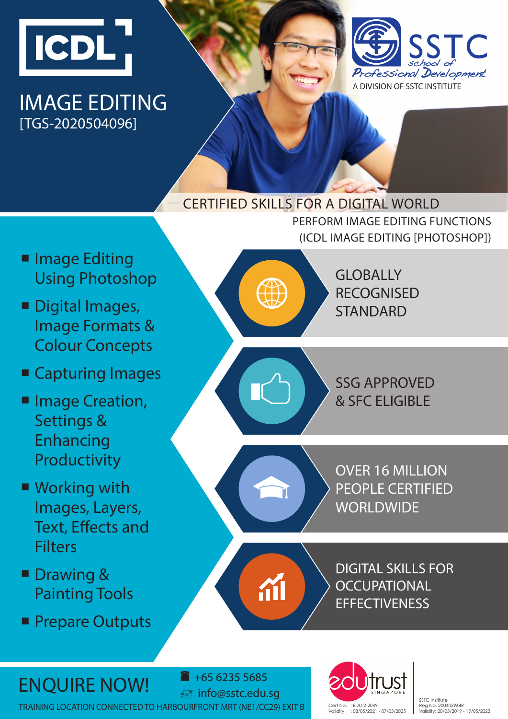

**Image Editing** 

Digital Images,

Using Photoshop

Image Formats &

Colour Concepts

■ Capturing Images

**Image Creation,** 

Settings &

Enhancing

Productivity

■ Working with

**Filters** 

**Drawing &** 

Images, Layers,

Text, Effects and

Painting Tools

**Prepare Outputs** 

## IMAGE EDITING [TGS-2020504096]



### CERTIFIED SKILLS FOR A DIGITAL WORLD

PERFORM IMAGE EDITING FUNCTIONS (ICDL IMAGE EDITING [PHOTOSHOP])

> **GLOBALLY** RECOGNISED **STANDARD**

SSG APPROVED & SFC ELIGIBLE

OVER 16 MILLION PEOPLE CERTIFIED **WORLDWIDE** 

DIGITAL SKILLS FOR **OCCUPATIONAL EFFECTIVENESS** 

# $ENQUIRE NOW!$   $\bullet$  +65 6235 5685

 info@sstc.edu.sg TRAINING LOCATION CONNECTED TO HARBOURFRONT MRT (NE1/CC29) EXIT B Cert No. : EDU-2-2049



SSTC Institute Reg No. 200402964R Validity: 20/05/2019 - 19/05/2023

$$
\begin{pmatrix} 1 \\ 0 \end{pmatrix}
$$

$$
\begin{pmatrix} 1 \\ 0 \end{pmatrix}
$$



**A**